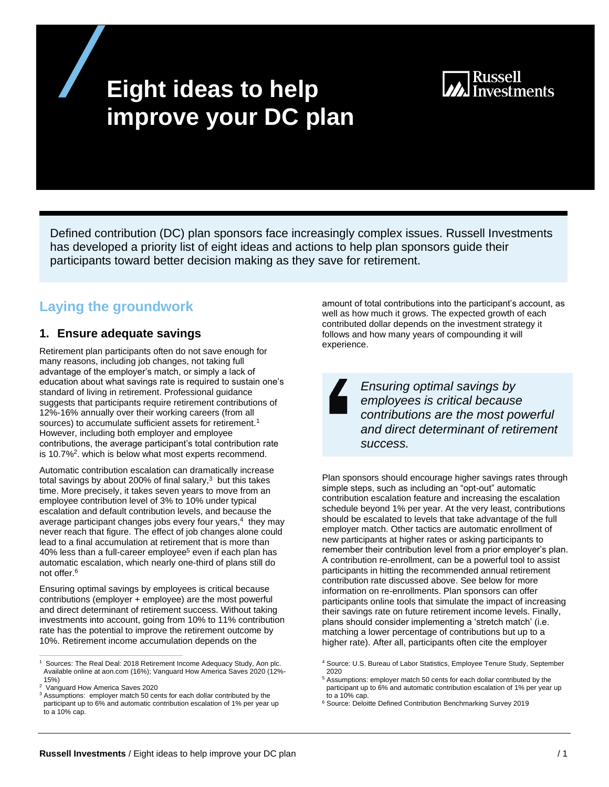# **Eight ideas to help improve your DC plan**

# **Russell**

Defined contribution (DC) plan sponsors face increasingly complex issues. Russell Investments has developed a priority list of eight ideas and actions to help plan sponsors guide their participants toward better decision making as they save for retirement.

## **Laying the groundwork**

## **1. Ensure adequate savings**

Retirement plan participants often do not save enough for many reasons, including job changes, not taking full advantage of the employer's match, or simply a lack of education about what savings rate is required to sustain one's standard of living in retirement. Professional guidance suggests that participants require retirement contributions of 12%-16% annually over their working careers (from all sources) to accumulate sufficient assets for retirement.<sup>1</sup> However, including both employer and employee contributions, the average participant's total contribution rate is 10.7%<sup>2</sup>. which is below what most experts recommend.

Automatic contribution escalation can dramatically increase total savings by about 200% of final salary, $3$  but this takes time. More precisely, it takes seven years to move from an employee contribution level of 3% to 10% under typical escalation and default contribution levels, and because the average participant changes jobs every four years, $4$  they may never reach that figure. The effect of job changes alone could lead to a final accumulation at retirement that is more than 40% less than a full-career employee<sup>5</sup> even if each plan has automatic escalation, which nearly one-third of plans still do not offer.<sup>6</sup>

Ensuring optimal savings by employees is critical because contributions (employer + employee) are the most powerful and direct determinant of retirement success. Without taking investments into account, going from 10% to 11% contribution rate has the potential to improve the retirement outcome by 10%. Retirement income accumulation depends on the

<sup>1</sup> Sources: The Real Deal: 2018 Retirement Income Adequacy Study, Aon plc. Available online at aon.com (16%); Vanguard How America Saves 2020 (12%- 15%)

<sup>2</sup> Vanguard How America Saves 2020

<sup>3</sup> Assumptions: employer match 50 cents for each dollar contributed by the participant up to 6% and automatic contribution escalation of 1% per year up to a 10% cap.

amount of total contributions into the participant's account, as well as how much it grows. The expected growth of each contributed dollar depends on the investment strategy it follows and how many years of compounding it will experience.

*Ensuring optimal savings by employees is critical because contributions are the most powerful and direct determinant of retirement success.* 

Plan sponsors should encourage higher savings rates through simple steps, such as including an "opt-out" automatic contribution escalation feature and increasing the escalation schedule beyond 1% per year. At the very least, contributions should be escalated to levels that take advantage of the full employer match. Other tactics are automatic enrollment of new participants at higher rates or asking participants to remember their contribution level from a prior employer's plan. A contribution re-enrollment, can be a powerful tool to assist participants in hitting the recommended annual retirement contribution rate discussed above. See below for more information on re-enrollments. Plan sponsors can offer participants online tools that simulate the impact of increasing their savings rate on future retirement income levels. Finally, plans should consider implementing a 'stretch match' (i.e. matching a lower percentage of contributions but up to a higher rate). After all, participants often cite the employer

- <sup>5</sup> Assumptions: employer match 50 cents for each dollar contributed by the participant up to 6% and automatic contribution escalation of 1% per year up to a 10% cap.
- <sup>6</sup> Source: Deloitte Defined Contribution Benchmarking Survey 2019

<sup>4</sup> Source: U.S. Bureau of Labor Statistics, Employee Tenure Study, September 2020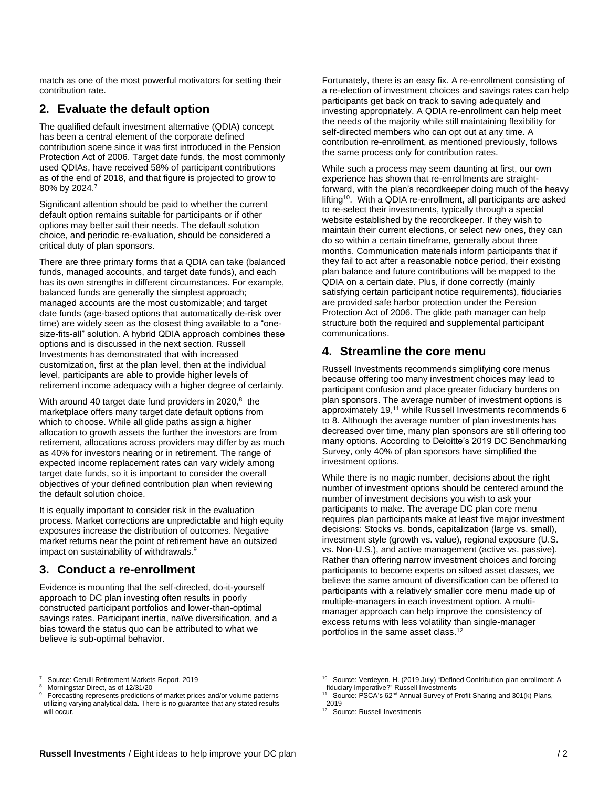match as one of the most powerful motivators for setting their contribution rate.

#### **2. Evaluate the default option**

The qualified default investment alternative (QDIA) concept has been a central element of the corporate defined contribution scene since it was first introduced in the Pension Protection Act of 2006. Target date funds, the most commonly used QDIAs, have received 58% of participant contributions as of the end of 2018, and that figure is projected to grow to 80% by 2024.7

Significant attention should be paid to whether the current default option remains suitable for participants or if other options may better suit their needs. The default solution choice, and periodic re-evaluation, should be considered a critical duty of plan sponsors.

There are three primary forms that a QDIA can take (balanced funds, managed accounts, and target date funds), and each has its own strengths in different circumstances. For example, balanced funds are generally the simplest approach; managed accounts are the most customizable; and target date funds (age-based options that automatically de-risk over time) are widely seen as the closest thing available to a "onesize-fits-all" solution. A hybrid QDIA approach combines these options and is discussed in the next section. Russell Investments has demonstrated that with increased customization, first at the plan level, then at the individual level, participants are able to provide higher levels of retirement income adequacy with a higher degree of certainty.

With around 40 target date fund providers in 2020,<sup>8</sup> the marketplace offers many target date default options from which to choose. While all glide paths assign a higher allocation to growth assets the further the investors are from retirement, allocations across providers may differ by as much as 40% for investors nearing or in retirement. The range of expected income replacement rates can vary widely among target date funds, so it is important to consider the overall objectives of your defined contribution plan when reviewing the default solution choice.

It is equally important to consider risk in the evaluation process. Market corrections are unpredictable and high equity exposures increase the distribution of outcomes. Negative market returns near the point of retirement have an outsized impact on sustainability of withdrawals.<sup>9</sup>

#### **3. Conduct a re-enrollment**

Evidence is mounting that the self-directed, do-it-yourself approach to DC plan investing often results in poorly constructed participant portfolios and lower-than-optimal savings rates. Participant inertia, naïve diversification, and a bias toward the status quo can be attributed to what we believe is sub-optimal behavior.

7 Source: Cerulli Retirement Markets Report, 2019 Fortunately, there is an easy fix. A re-enrollment consisting of a re-election of investment choices and savings rates can help participants get back on track to saving adequately and investing appropriately. A QDIA re-enrollment can help meet the needs of the majority while still maintaining flexibility for self-directed members who can opt out at any time. A contribution re-enrollment, as mentioned previously, follows the same process only for contribution rates.

While such a process may seem daunting at first, our own experience has shown that re-enrollments are straightforward, with the plan's recordkeeper doing much of the heavy lifting<sup>10</sup>. With a QDIA re-enrollment, all participants are asked to re-select their investments, typically through a special website established by the recordkeeper. If they wish to maintain their current elections, or select new ones, they can do so within a certain timeframe, generally about three months. Communication materials inform participants that if they fail to act after a reasonable notice period, their existing plan balance and future contributions will be mapped to the QDIA on a certain date. Plus, if done correctly (mainly satisfying certain participant notice requirements), fiduciaries are provided safe harbor protection under the Pension Protection Act of 2006. The glide path manager can help structure both the required and supplemental participant communications.

#### **4. Streamline the core menu**

Russell Investments recommends simplifying core menus because offering too many investment choices may lead to participant confusion and place greater fiduciary burdens on plan sponsors. The average number of investment options is approximately 19, <sup>11</sup> while Russell Investments recommends 6 to 8. Although the average number of plan investments has decreased over time, many plan sponsors are still offering too many options. According to Deloitte's 2019 DC Benchmarking Survey, only 40% of plan sponsors have simplified the investment options.

While there is no magic number, decisions about the right number of investment options should be centered around the number of investment decisions you wish to ask your participants to make. The average DC plan core menu requires plan participants make at least five major investment decisions: Stocks vs. bonds, capitalization (large vs. small), investment style (growth vs. value), regional exposure (U.S. vs. Non-U.S.), and active management (active vs. passive). Rather than offering narrow investment choices and forcing participants to become experts on siloed asset classes, we believe the same amount of diversification can be offered to participants with a relatively smaller core menu made up of multiple-managers in each investment option. A multimanager approach can help improve the consistency of excess returns with less volatility than single-manager portfolios in the same asset class.<sup>12</sup>

<sup>8</sup> Morningstar Direct, as of 12/31/20

<sup>9</sup> Forecasting represents predictions of market prices and/or volume patterns utilizing varying analytical data. There is no guarantee that any stated results will occur.

<sup>&</sup>lt;sup>10</sup> Source: Verdeyen, H. (2019 July) "Defined Contribution plan enrollment: A fiduciary imperative?" Russell Investments

<sup>&</sup>lt;sup>11</sup> Source: PSCA's 62<sup>nd</sup> Annual Survey of Profit Sharing and 301(k) Plans, 2019

<sup>12</sup> Source: Russell Investments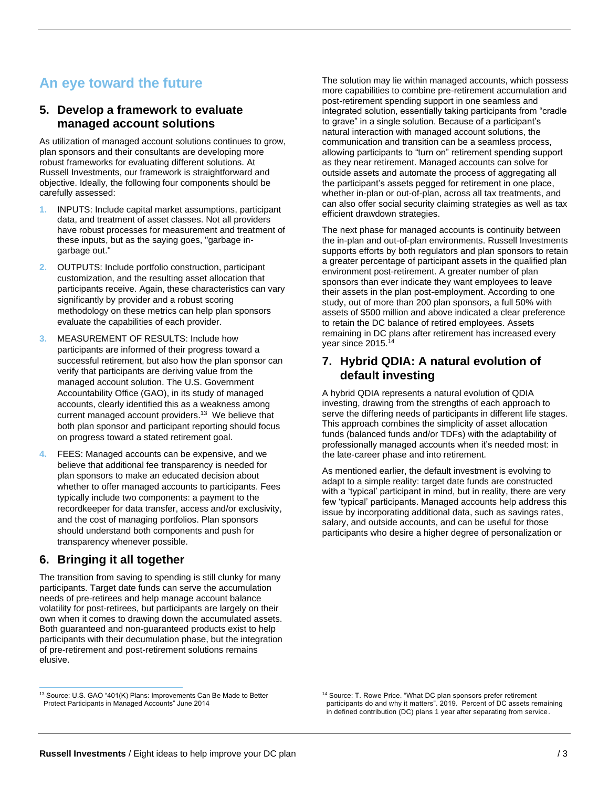# **An eye toward the future**

#### **5. Develop a framework to evaluate managed account solutions**

As utilization of managed account solutions continues to grow, plan sponsors and their consultants are developing more robust frameworks for evaluating different solutions. At Russell Investments, our framework is straightforward and objective. Ideally, the following four components should be carefully assessed:

- **1.** INPUTS: Include capital market assumptions, participant data, and treatment of asset classes. Not all providers have robust processes for measurement and treatment of these inputs, but as the saying goes, "garbage ingarbage out."
- **2.** OUTPUTS: Include portfolio construction, participant customization, and the resulting asset allocation that participants receive. Again, these characteristics can vary significantly by provider and a robust scoring methodology on these metrics can help plan sponsors evaluate the capabilities of each provider.
- **3.** MEASUREMENT OF RESULTS: Include how participants are informed of their progress toward a successful retirement, but also how the plan sponsor can verify that participants are deriving value from the managed account solution. The U.S. Government Accountability Office (GAO), in its study of managed accounts, clearly identified this as a weakness among current managed account providers. 13 We believe that both plan sponsor and participant reporting should focus on progress toward a stated retirement goal.
- **4.** FEES: Managed accounts can be expensive, and we believe that additional fee transparency is needed for plan sponsors to make an educated decision about whether to offer managed accounts to participants. Fees typically include two components: a payment to the recordkeeper for data transfer, access and/or exclusivity, and the cost of managing portfolios. Plan sponsors should understand both components and push for transparency whenever possible.

## **6. Bringing it all together**

The transition from saving to spending is still clunky for many participants. Target date funds can serve the accumulation needs of pre-retirees and help manage account balance volatility for post-retirees, but participants are largely on their own when it comes to drawing down the accumulated assets. Both guaranteed and non-guaranteed products exist to help participants with their decumulation phase, but the integration of pre-retirement and post-retirement solutions remains elusive.

The solution may lie within managed accounts, which possess more capabilities to combine pre-retirement accumulation and post-retirement spending support in one seamless and integrated solution, essentially taking participants from "cradle to grave" in a single solution. Because of a participant's natural interaction with managed account solutions, the communication and transition can be a seamless process, allowing participants to "turn on" retirement spending support as they near retirement. Managed accounts can solve for outside assets and automate the process of aggregating all the participant's assets pegged for retirement in one place, whether in-plan or out-of-plan, across all tax treatments, and can also offer social security claiming strategies as well as tax efficient drawdown strategies.

The next phase for managed accounts is continuity between the in-plan and out-of-plan environments. Russell Investments supports efforts by both regulators and plan sponsors to retain a greater percentage of participant assets in the qualified plan environment post-retirement. A greater number of plan sponsors than ever indicate they want employees to leave their assets in the plan post-employment. According to one study, out of more than 200 plan sponsors, a full 50% with assets of \$500 million and above indicated a clear preference to retain the DC balance of retired employees. Assets remaining in DC plans after retirement has increased every year since 2015.<sup>14</sup>

#### **7. Hybrid QDIA: A natural evolution of default investing**

A hybrid QDIA represents a natural evolution of QDIA investing, drawing from the strengths of each approach to serve the differing needs of participants in different life stages. This approach combines the simplicity of asset allocation funds (balanced funds and/or TDFs) with the adaptability of professionally managed accounts when it's needed most: in the late-career phase and into retirement.

As mentioned earlier, the default investment is evolving to adapt to a simple reality: target date funds are constructed with a 'typical' participant in mind, but in reality, there are very few 'typical' participants. Managed accounts help address this issue by incorporating additional data, such as savings rates, salary, and outside accounts, and can be useful for those participants who desire a higher degree of personalization or

<sup>&</sup>lt;sup>13</sup> Source: U.S. GAO "401(K) Plans: Improvements Can Be Made to Better Protect Participants in Managed Accounts" June 2014

<sup>&</sup>lt;sup>14</sup> Source: T. Rowe Price. "What DC plan sponsors prefer retirement participants do and why it matters". 2019. Percent of DC assets remaining in defined contribution (DC) plans 1 year after separating from service.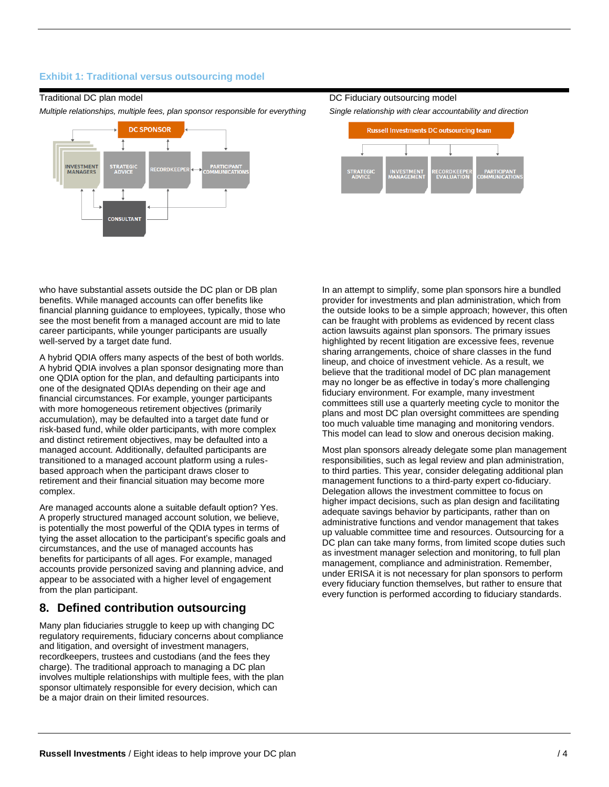#### **Exhibit 1: Traditional versus outsourcing model**

#### Traditional DC plan model

*Multiple relationships, multiple fees, plan sponsor responsible for everything*



#### DC Fiduciary outsourcing model

*Single relationship with clear accountability and direction*



who have substantial assets outside the DC plan or DB plan benefits. While managed accounts can offer benefits like financial planning guidance to employees, typically, those who see the most benefit from a managed account are mid to late career participants, while younger participants are usually well-served by a target date fund.

A hybrid QDIA offers many aspects of the best of both worlds. A hybrid QDIA involves a plan sponsor designating more than one QDIA option for the plan, and defaulting participants into one of the designated QDIAs depending on their age and financial circumstances. For example, younger participants with more homogeneous retirement objectives (primarily accumulation), may be defaulted into a target date fund or risk-based fund, while older participants, with more complex and distinct retirement objectives, may be defaulted into a managed account. Additionally, defaulted participants are transitioned to a managed account platform using a rulesbased approach when the participant draws closer to retirement and their financial situation may become more complex.

Are managed accounts alone a suitable default option? Yes. A properly structured managed account solution, we believe, is potentially the most powerful of the QDIA types in terms of tying the asset allocation to the participant's specific goals and circumstances, and the use of managed accounts has benefits for participants of all ages. For example, managed accounts provide personized saving and planning advice, and appear to be associated with a higher level of engagement from the plan participant.

## **8. Defined contribution outsourcing**

Many plan fiduciaries struggle to keep up with changing DC regulatory requirements, fiduciary concerns about compliance and litigation, and oversight of investment managers, recordkeepers, trustees and custodians (and the fees they charge). The traditional approach to managing a DC plan involves multiple relationships with multiple fees, with the plan sponsor ultimately responsible for every decision, which can be a major drain on their limited resources.

In an attempt to simplify, some plan sponsors hire a bundled provider for investments and plan administration, which from the outside looks to be a simple approach; however, this often can be fraught with problems as evidenced by recent class action lawsuits against plan sponsors. The primary issues highlighted by recent litigation are excessive fees, revenue sharing arrangements, choice of share classes in the fund lineup, and choice of investment vehicle. As a result, we believe that the traditional model of DC plan management may no longer be as effective in today's more challenging fiduciary environment. For example, many investment committees still use a quarterly meeting cycle to monitor the plans and most DC plan oversight committees are spending too much valuable time managing and monitoring vendors. This model can lead to slow and onerous decision making.

Most plan sponsors already delegate some plan management responsibilities, such as legal review and plan administration, to third parties. This year, consider delegating additional plan management functions to a third-party expert co-fiduciary. Delegation allows the investment committee to focus on higher impact decisions, such as plan design and facilitating adequate savings behavior by participants, rather than on administrative functions and vendor management that takes up valuable committee time and resources. Outsourcing for a DC plan can take many forms, from limited scope duties such as investment manager selection and monitoring, to full plan management, compliance and administration. Remember, under ERISA it is not necessary for plan sponsors to perform every fiduciary function themselves, but rather to ensure that every function is performed according to fiduciary standards.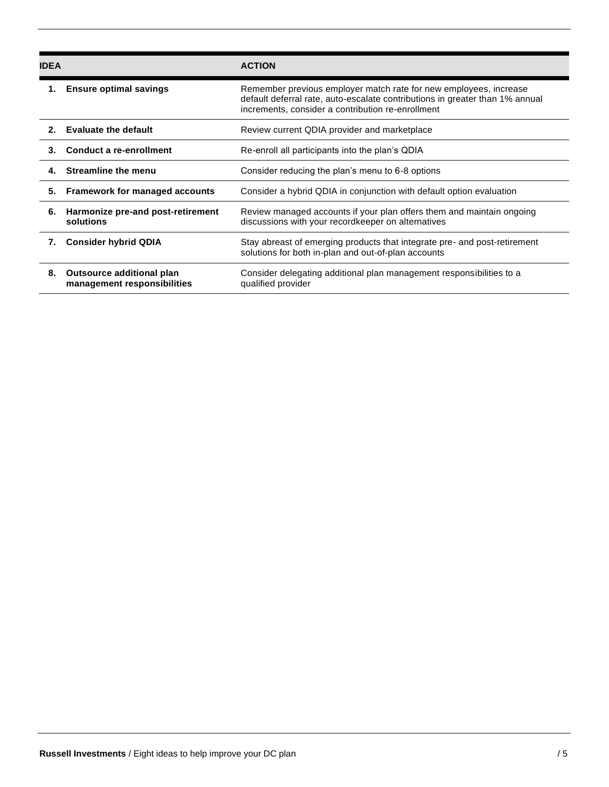| <b>IDEA</b> |                                                          | <b>ACTION</b>                                                                                                                                                                                          |
|-------------|----------------------------------------------------------|--------------------------------------------------------------------------------------------------------------------------------------------------------------------------------------------------------|
|             | <b>Ensure optimal savings</b>                            | Remember previous employer match rate for new employees, increase<br>default deferral rate, auto-escalate contributions in greater than 1% annual<br>increments, consider a contribution re-enrollment |
| $2^{\circ}$ | <b>Evaluate the default</b>                              | Review current QDIA provider and marketplace                                                                                                                                                           |
| 3.          | Conduct a re-enrollment                                  | Re-enroll all participants into the plan's QDIA                                                                                                                                                        |
| 4.          | <b>Streamline the menu</b>                               | Consider reducing the plan's menu to 6-8 options                                                                                                                                                       |
| 5.          | Framework for managed accounts                           | Consider a hybrid QDIA in conjunction with default option evaluation                                                                                                                                   |
| 6.          | Harmonize pre-and post-retirement<br>solutions           | Review managed accounts if your plan offers them and maintain ongoing<br>discussions with your recordkeeper on alternatives                                                                            |
| 7.          | <b>Consider hybrid QDIA</b>                              | Stay abreast of emerging products that integrate pre- and post-retirement<br>solutions for both in-plan and out-of-plan accounts                                                                       |
| 8.          | Outsource additional plan<br>management responsibilities | Consider delegating additional plan management responsibilities to a<br>qualified provider                                                                                                             |